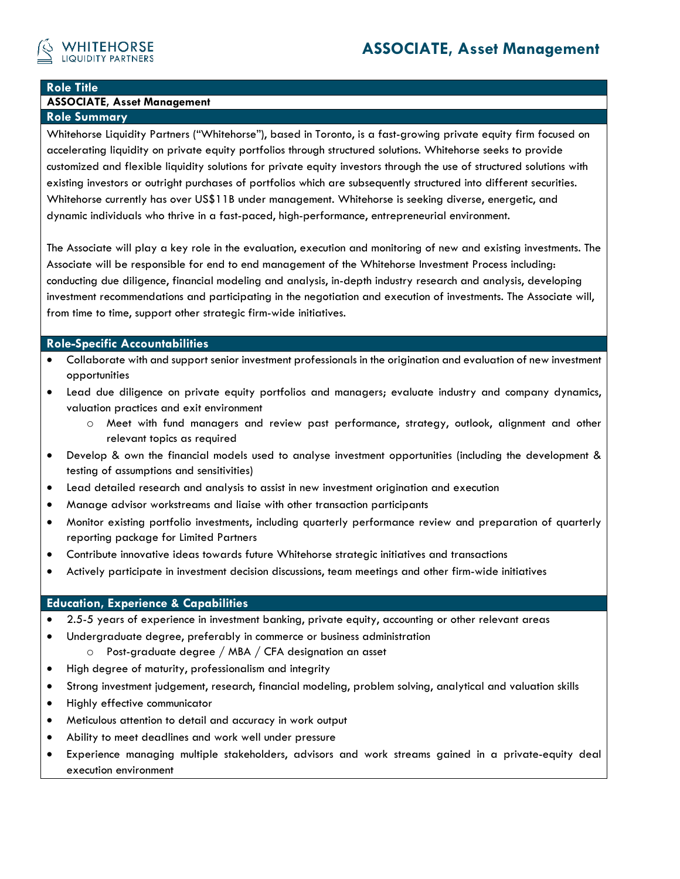

## **Role Title**

# **ASSOCIATE, Asset Management**

**Role Summary** 

Whitehorse Liquidity Partners ("Whitehorse"), based in Toronto, is a fast-growing private equity firm focused on accelerating liquidity on private equity portfolios through structured solutions. Whitehorse seeks to provide customized and flexible liquidity solutions for private equity investors through the use of structured solutions with existing investors or outright purchases of portfolios which are subsequently structured into different securities. Whitehorse currently has over US\$11B under management. Whitehorse is seeking diverse, energetic, and dynamic individuals who thrive in a fast-paced, high-performance, entrepreneurial environment.

The Associate will play a key role in the evaluation, execution and monitoring of new and existing investments. The Associate will be responsible for end to end management of the Whitehorse Investment Process including: conducting due diligence, financial modeling and analysis, in-depth industry research and analysis, developing investment recommendations and participating in the negotiation and execution of investments. The Associate will, from time to time, support other strategic firm-wide initiatives.

### **Role-Specific Accountabilities**

- Collaborate with and support senior investment professionals in the origination and evaluation of new investment opportunities
- Lead due diligence on private equity portfolios and managers; evaluate industry and company dynamics, valuation practices and exit environment
	- o Meet with fund managers and review past performance, strategy, outlook, alignment and other relevant topics as required
- Develop & own the financial models used to analyse investment opportunities (including the development & testing of assumptions and sensitivities)
- Lead detailed research and analysis to assist in new investment origination and execution
- Manage advisor workstreams and liaise with other transaction participants
- Monitor existing portfolio investments, including quarterly performance review and preparation of quarterly reporting package for Limited Partners
- Contribute innovative ideas towards future Whitehorse strategic initiatives and transactions
- Actively participate in investment decision discussions, team meetings and other firm-wide initiatives

#### **Education, Experience & Capabilities**

- 2.5-5 years of experience in investment banking, private equity, accounting or other relevant areas
- Undergraduate degree, preferably in commerce or business administration
	- o Post-graduate degree / MBA / CFA designation an asset
- High degree of maturity, professionalism and integrity
- Strong investment judgement, research, financial modeling, problem solving, analytical and valuation skills
- Highly effective communicator
- Meticulous attention to detail and accuracy in work output
- Ability to meet deadlines and work well under pressure
- Experience managing multiple stakeholders, advisors and work streams gained in a private-equity deal execution environment